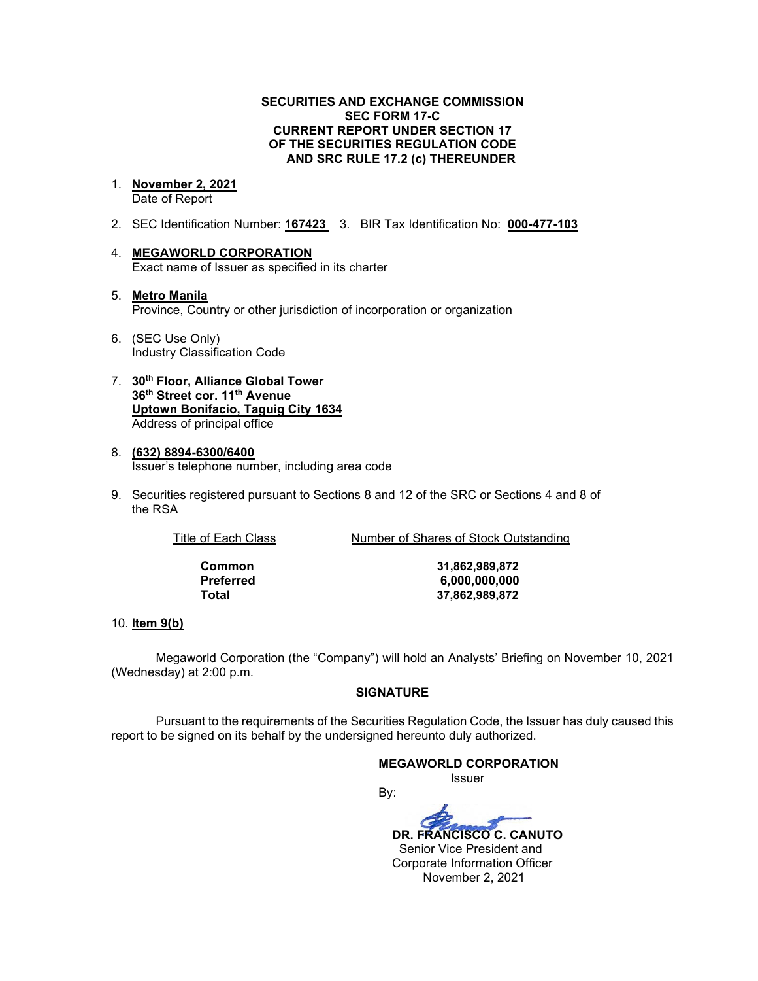### **SECURITIES AND EXCHANGE COMMISSION SEC FORM 17-C CURRENT REPORT UNDER SECTION 17 OF THE SECURITIES REGULATION CODE AND SRC RULE 17.2 (c) THEREUNDER**

#### 1. **November 2, 2021** Date of Report

- 2. SEC Identification Number: **167423** 3. BIR Tax Identification No: **000-477-103**
- 4. **MEGAWORLD CORPORATION** Exact name of Issuer as specified in its charter
- 5. **Metro Manila** Province, Country or other jurisdiction of incorporation or organization
- 6. (SEC Use Only) Industry Classification Code
- 7. **30th Floor, Alliance Global Tower 36th Street cor. 11th Avenue Uptown Bonifacio, Taguig City 1634** Address of principal office
- 8. **(632) 8894-6300/6400** Issuer's telephone number, including area code
- 9. Securities registered pursuant to Sections 8 and 12 of the SRC or Sections 4 and 8 of the RSA

Title of Each Class Number of Shares of Stock Outstanding

**Common 31,862,989,872 Preferred 6,000,000,000 Total 37,862,989,872**

### 10. **Item 9(b)**

Megaworld Corporation (the "Company") will hold an Analysts' Briefing on November 10, 2021 (Wednesday) at 2:00 p.m.

### **SIGNATURE**

Pursuant to the requirements of the Securities Regulation Code, the Issuer has duly caused this report to be signed on its behalf by the undersigned hereunto duly authorized.

### **MEGAWORLD CORPORATION**

Issuer

By:  **DR. FRANCISCO C. CANUTO** Senior Vice President and Corporate Information Officer

November 2, 2021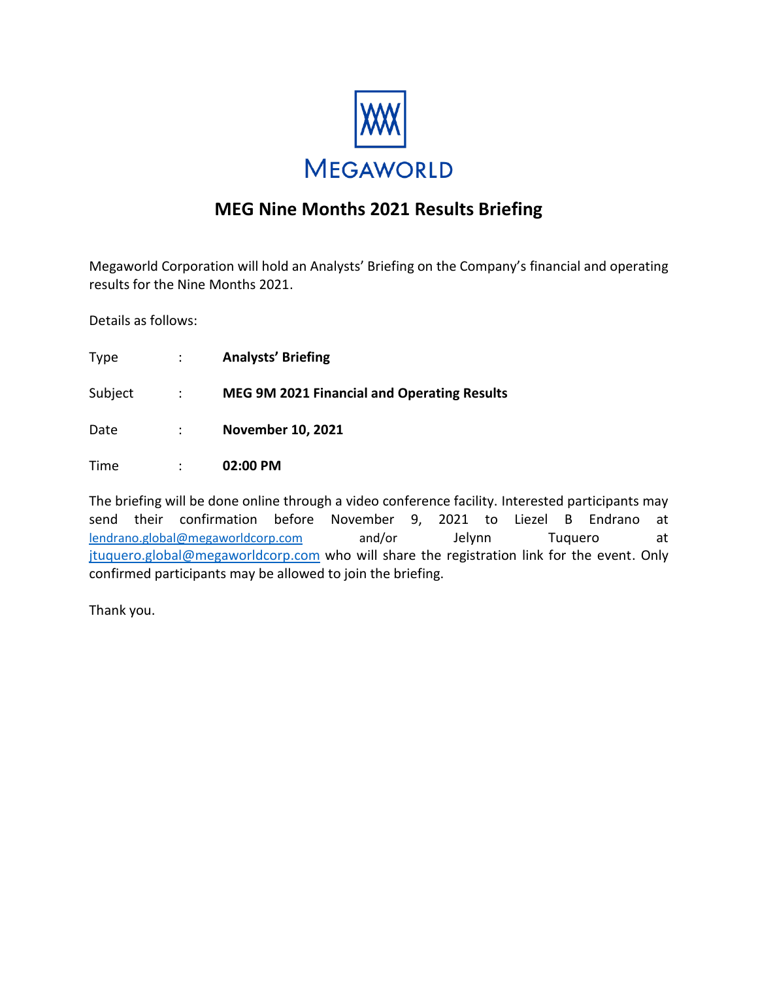

### **MEG Nine Months 2021 Results Briefing**

Megaworld Corporation will hold an Analysts' Briefing on the Company's financial and operating results for the Nine Months 2021.

Details as follows:

| <b>Type</b> | $\mathbb{R}^n$ | <b>Analysts' Briefing</b>                          |
|-------------|----------------|----------------------------------------------------|
| Subject     | $\sim 1000$    | <b>MEG 9M 2021 Financial and Operating Results</b> |
| Date        | $\mathcal{L}$  | <b>November 10, 2021</b>                           |
| Time        |                | 02:00 PM                                           |

The briefing will be done online through a video conference facility. Interested participants may send their confirmation before November 9, 2021 to Liezel B Endrano at [lendrano.global@megaworldcorp.com](mailto:lendrano.global@megaworldcorp.com) and/or Jelynn Tuquero at [jtuquero.global@megaworldcorp.com](mailto:jtuquero.global@megaworldcorp.com) who will share the registration link for the event. Only confirmed participants may be allowed to join the briefing.

Thank you.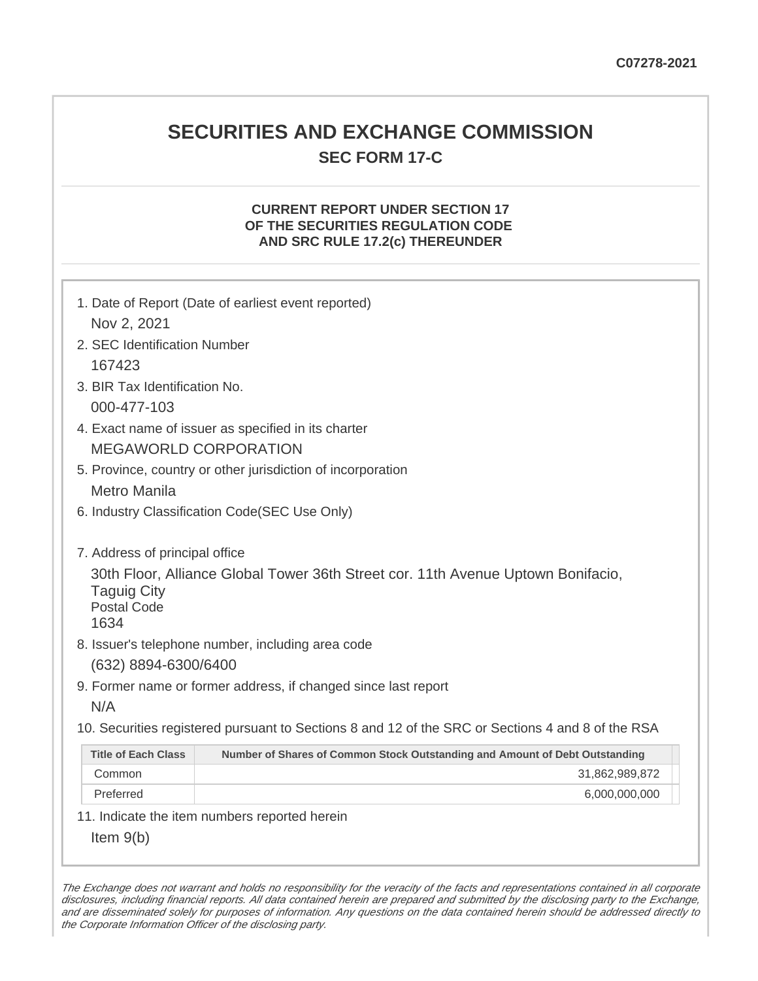## **SECURITIES AND EXCHANGE COMMISSION SEC FORM 17-C**

### **CURRENT REPORT UNDER SECTION 17 OF THE SECURITIES REGULATION CODE AND SRC RULE 17.2(c) THEREUNDER**

| 1. Date of Report (Date of earliest event reported)<br>Nov 2, 2021                                                                                                     |                                                                                                   |  |  |  |
|------------------------------------------------------------------------------------------------------------------------------------------------------------------------|---------------------------------------------------------------------------------------------------|--|--|--|
| 2. SEC Identification Number                                                                                                                                           |                                                                                                   |  |  |  |
| 167423                                                                                                                                                                 |                                                                                                   |  |  |  |
| 3. BIR Tax Identification No.                                                                                                                                          |                                                                                                   |  |  |  |
| 000-477-103                                                                                                                                                            |                                                                                                   |  |  |  |
| 4. Exact name of issuer as specified in its charter                                                                                                                    |                                                                                                   |  |  |  |
| <b>MEGAWORLD CORPORATION</b>                                                                                                                                           |                                                                                                   |  |  |  |
| 5. Province, country or other jurisdiction of incorporation                                                                                                            |                                                                                                   |  |  |  |
| <b>Metro Manila</b>                                                                                                                                                    |                                                                                                   |  |  |  |
| 6. Industry Classification Code(SEC Use Only)                                                                                                                          |                                                                                                   |  |  |  |
| 7. Address of principal office<br>30th Floor, Alliance Global Tower 36th Street cor. 11th Avenue Uptown Bonifacio,<br><b>Taguig City</b><br><b>Postal Code</b><br>1634 |                                                                                                   |  |  |  |
|                                                                                                                                                                        | 8. Issuer's telephone number, including area code                                                 |  |  |  |
|                                                                                                                                                                        | (632) 8894-6300/6400                                                                              |  |  |  |
|                                                                                                                                                                        | 9. Former name or former address, if changed since last report                                    |  |  |  |
| N/A                                                                                                                                                                    |                                                                                                   |  |  |  |
|                                                                                                                                                                        | 10. Securities registered pursuant to Sections 8 and 12 of the SRC or Sections 4 and 8 of the RSA |  |  |  |
| <b>Title of Each Class</b>                                                                                                                                             | Number of Shares of Common Stock Outstanding and Amount of Debt Outstanding                       |  |  |  |
| Common                                                                                                                                                                 | 31,862,989,872                                                                                    |  |  |  |
| Preferred                                                                                                                                                              | 6,000,000,000                                                                                     |  |  |  |
|                                                                                                                                                                        | 11. Indicate the item numbers reported herein                                                     |  |  |  |
| Item $9(b)$                                                                                                                                                            |                                                                                                   |  |  |  |

The Exchange does not warrant and holds no responsibility for the veracity of the facts and representations contained in all corporate disclosures, including financial reports. All data contained herein are prepared and submitted by the disclosing party to the Exchange, and are disseminated solely for purposes of information. Any questions on the data contained herein should be addressed directly to the Corporate Information Officer of the disclosing party.